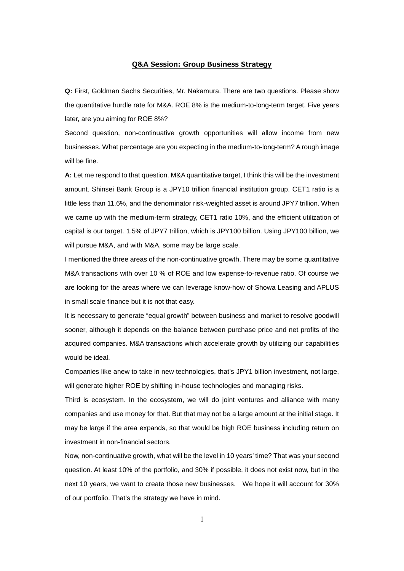## **Q&A Session: Group Business Strategy**

**Q:** First, Goldman Sachs Securities, Mr. Nakamura. There are two questions. Please show the quantitative hurdle rate for M&A. ROE 8% is the medium-to-long-term target. Five years later, are you aiming for ROE 8%?

Second question, non-continuative growth opportunities will allow income from new businesses. What percentage are you expecting in the medium-to-long-term? A rough image will be fine.

**A:** Let me respond to that question. M&A quantitative target, I think this will be the investment amount. Shinsei Bank Group is a JPY10 trillion financial institution group. CET1 ratio is a little less than 11.6%, and the denominator risk-weighted asset is around JPY7 trillion. When we came up with the medium-term strategy, CET1 ratio 10%, and the efficient utilization of capital is our target. 1.5% of JPY7 trillion, which is JPY100 billion. Using JPY100 billion, we will pursue M&A, and with M&A, some may be large scale.

I mentioned the three areas of the non-continuative growth. There may be some quantitative M&A transactions with over 10 % of ROE and low expense-to-revenue ratio. Of course we are looking for the areas where we can leverage know-how of Showa Leasing and APLUS in small scale finance but it is not that easy.

It is necessary to generate "equal growth" between business and market to resolve goodwill sooner, although it depends on the balance between purchase price and net profits of the acquired companies. M&A transactions which accelerate growth by utilizing our capabilities would be ideal.

Companies like anew to take in new technologies, that's JPY1 billion investment, not large, will generate higher ROE by shifting in-house technologies and managing risks.

Third is ecosystem. In the ecosystem, we will do joint ventures and alliance with many companies and use money for that. But that may not be a large amount at the initial stage. It may be large if the area expands, so that would be high ROE business including return on investment in non-financial sectors.

Now, non-continuative growth, what will be the level in 10 years' time? That was your second question. At least 10% of the portfolio, and 30% if possible, it does not exist now, but in the next 10 years, we want to create those new businesses. We hope it will account for 30% of our portfolio. That's the strategy we have in mind.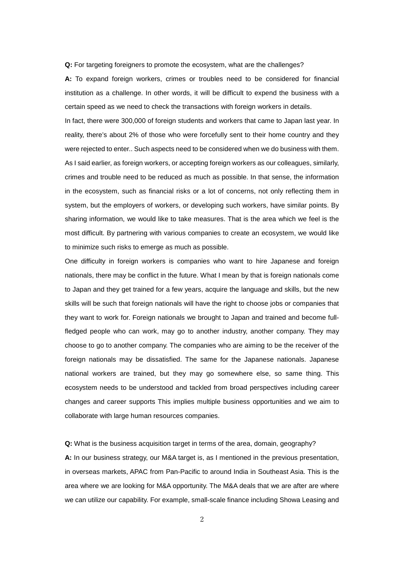**Q:** For targeting foreigners to promote the ecosystem, what are the challenges?

**A:** To expand foreign workers, crimes or troubles need to be considered for financial institution as a challenge. In other words, it will be difficult to expend the business with a certain speed as we need to check the transactions with foreign workers in details.

In fact, there were 300,000 of foreign students and workers that came to Japan last year. In reality, there's about 2% of those who were forcefully sent to their home country and they were rejected to enter.. Such aspects need to be considered when we do business with them. As I said earlier, as foreign workers, or accepting foreign workers as our colleagues, similarly, crimes and trouble need to be reduced as much as possible. In that sense, the information in the ecosystem, such as financial risks or a lot of concerns, not only reflecting them in system, but the employers of workers, or developing such workers, have similar points. By sharing information, we would like to take measures. That is the area which we feel is the most difficult. By partnering with various companies to create an ecosystem, we would like to minimize such risks to emerge as much as possible.

One difficulty in foreign workers is companies who want to hire Japanese and foreign nationals, there may be conflict in the future. What I mean by that is foreign nationals come to Japan and they get trained for a few years, acquire the language and skills, but the new skills will be such that foreign nationals will have the right to choose jobs or companies that they want to work for. Foreign nationals we brought to Japan and trained and become fullfledged people who can work, may go to another industry, another company. They may choose to go to another company. The companies who are aiming to be the receiver of the foreign nationals may be dissatisfied. The same for the Japanese nationals. Japanese national workers are trained, but they may go somewhere else, so same thing. This ecosystem needs to be understood and tackled from broad perspectives including career changes and career supports This implies multiple business opportunities and we aim to collaborate with large human resources companies.

**Q:** What is the business acquisition target in terms of the area, domain, geography?

**A:** In our business strategy, our M&A target is, as I mentioned in the previous presentation, in overseas markets, APAC from Pan-Pacific to around India in Southeast Asia. This is the area where we are looking for M&A opportunity. The M&A deals that we are after are where we can utilize our capability. For example, small-scale finance including Showa Leasing and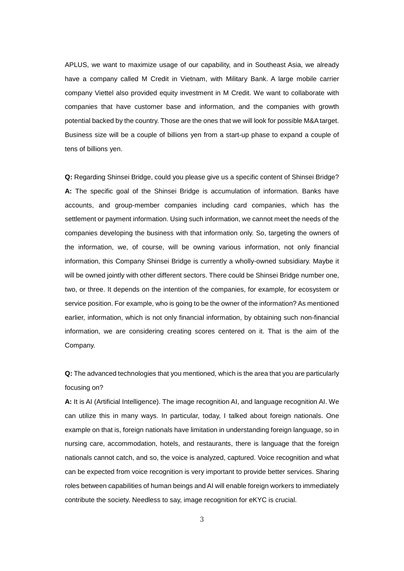APLUS, we want to maximize usage of our capability, and in Southeast Asia, we already have a company called M Credit in Vietnam, with Military Bank. A large mobile carrier company Viettel also provided equity investment in M Credit. We want to collaborate with companies that have customer base and information, and the companies with growth potential backed by the country. Those are the ones that we will look for possible M&A target. Business size will be a couple of billions yen from a start-up phase to expand a couple of tens of billions yen.

**Q:** Regarding Shinsei Bridge, could you please give us a specific content of Shinsei Bridge? **A:** The specific goal of the Shinsei Bridge is accumulation of information. Banks have accounts, and group-member companies including card companies, which has the settlement or payment information. Using such information, we cannot meet the needs of the companies developing the business with that information only. So, targeting the owners of the information, we, of course, will be owning various information, not only financial information, this Company Shinsei Bridge is currently a wholly-owned subsidiary. Maybe it will be owned jointly with other different sectors. There could be Shinsei Bridge number one, two, or three. It depends on the intention of the companies, for example, for ecosystem or service position. For example, who is going to be the owner of the information? As mentioned earlier, information, which is not only financial information, by obtaining such non-financial information, we are considering creating scores centered on it. That is the aim of the Company.

**Q:** The advanced technologies that you mentioned, which is the area that you are particularly focusing on?

**A:** It is AI (Artificial Intelligence). The image recognition AI, and language recognition AI. We can utilize this in many ways. In particular, today, I talked about foreign nationals. One example on that is, foreign nationals have limitation in understanding foreign language, so in nursing care, accommodation, hotels, and restaurants, there is language that the foreign nationals cannot catch, and so, the voice is analyzed, captured. Voice recognition and what can be expected from voice recognition is very important to provide better services. Sharing roles between capabilities of human beings and AI will enable foreign workers to immediately contribute the society. Needless to say, image recognition for eKYC is crucial.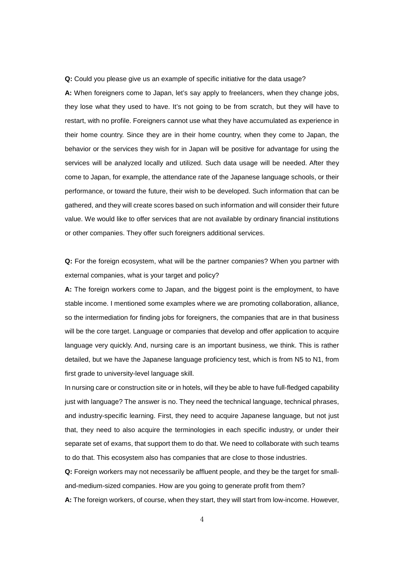**Q:** Could you please give us an example of specific initiative for the data usage?

**A:** When foreigners come to Japan, let's say apply to freelancers, when they change jobs, they lose what they used to have. It's not going to be from scratch, but they will have to restart, with no profile. Foreigners cannot use what they have accumulated as experience in their home country. Since they are in their home country, when they come to Japan, the behavior or the services they wish for in Japan will be positive for advantage for using the services will be analyzed locally and utilized. Such data usage will be needed. After they come to Japan, for example, the attendance rate of the Japanese language schools, or their performance, or toward the future, their wish to be developed. Such information that can be gathered, and they will create scores based on such information and will consider their future value. We would like to offer services that are not available by ordinary financial institutions or other companies. They offer such foreigners additional services.

**Q:** For the foreign ecosystem, what will be the partner companies? When you partner with external companies, what is your target and policy?

**A:** The foreign workers come to Japan, and the biggest point is the employment, to have stable income. I mentioned some examples where we are promoting collaboration, alliance, so the intermediation for finding jobs for foreigners, the companies that are in that business will be the core target. Language or companies that develop and offer application to acquire language very quickly. And, nursing care is an important business, we think. This is rather detailed, but we have the Japanese language proficiency test, which is from N5 to N1, from first grade to university-level language skill.

In nursing care or construction site or in hotels, will they be able to have full-fledged capability just with language? The answer is no. They need the technical language, technical phrases, and industry-specific learning. First, they need to acquire Japanese language, but not just that, they need to also acquire the terminologies in each specific industry, or under their separate set of exams, that support them to do that. We need to collaborate with such teams to do that. This ecosystem also has companies that are close to those industries.

**Q:** Foreign workers may not necessarily be affluent people, and they be the target for smalland-medium-sized companies. How are you going to generate profit from them?

**A:** The foreign workers, of course, when they start, they will start from low-income. However,